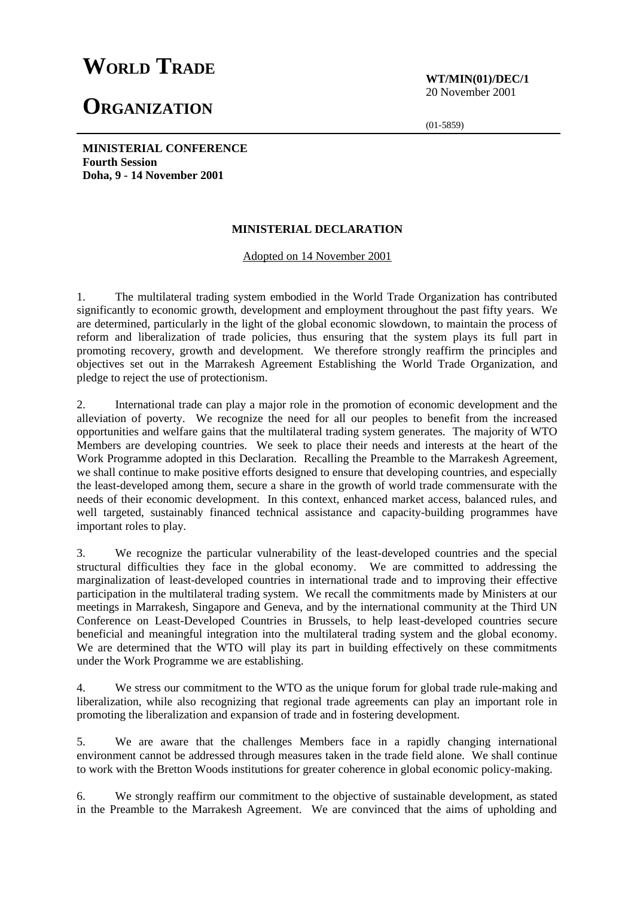# **WORLD TRADE**

# **ORGANIZATION**

**WT/MIN(01)/DEC/1** 20 November 2001

(01-5859)

**MINISTERIAL CONFERENCE Fourth Session Doha, 9 - 14 November 2001**

# **MINISTERIAL DECLARATION**

Adopted on 14 November 2001

1. The multilateral trading system embodied in the World Trade Organization has contributed significantly to economic growth, development and employment throughout the past fifty years. We are determined, particularly in the light of the global economic slowdown, to maintain the process of reform and liberalization of trade policies, thus ensuring that the system plays its full part in promoting recovery, growth and development. We therefore strongly reaffirm the principles and objectives set out in the Marrakesh Agreement Establishing the World Trade Organization, and pledge to reject the use of protectionism.

2. International trade can play a major role in the promotion of economic development and the alleviation of poverty. We recognize the need for all our peoples to benefit from the increased opportunities and welfare gains that the multilateral trading system generates. The majority of WTO Members are developing countries. We seek to place their needs and interests at the heart of the Work Programme adopted in this Declaration. Recalling the Preamble to the Marrakesh Agreement, we shall continue to make positive efforts designed to ensure that developing countries, and especially the least-developed among them, secure a share in the growth of world trade commensurate with the needs of their economic development. In this context, enhanced market access, balanced rules, and well targeted, sustainably financed technical assistance and capacity-building programmes have important roles to play.

3. We recognize the particular vulnerability of the least-developed countries and the special structural difficulties they face in the global economy. We are committed to addressing the marginalization of least-developed countries in international trade and to improving their effective participation in the multilateral trading system. We recall the commitments made by Ministers at our meetings in Marrakesh, Singapore and Geneva, and by the international community at the Third UN Conference on Least-Developed Countries in Brussels, to help least-developed countries secure beneficial and meaningful integration into the multilateral trading system and the global economy. We are determined that the WTO will play its part in building effectively on these commitments under the Work Programme we are establishing.

4. We stress our commitment to the WTO as the unique forum for global trade rule-making and liberalization, while also recognizing that regional trade agreements can play an important role in promoting the liberalization and expansion of trade and in fostering development.

5. We are aware that the challenges Members face in a rapidly changing international environment cannot be addressed through measures taken in the trade field alone. We shall continue to work with the Bretton Woods institutions for greater coherence in global economic policy-making.

6. We strongly reaffirm our commitment to the objective of sustainable development, as stated in the Preamble to the Marrakesh Agreement. We are convinced that the aims of upholding and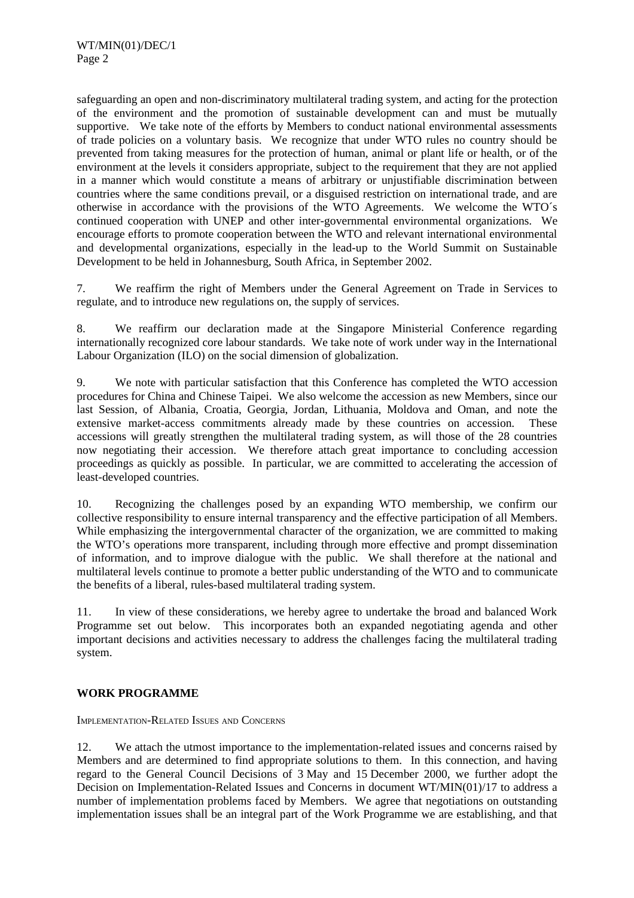safeguarding an open and non-discriminatory multilateral trading system, and acting for the protection of the environment and the promotion of sustainable development can and must be mutually supportive. We take note of the efforts by Members to conduct national environmental assessments of trade policies on a voluntary basis. We recognize that under WTO rules no country should be prevented from taking measures for the protection of human, animal or plant life or health, or of the environment at the levels it considers appropriate, subject to the requirement that they are not applied in a manner which would constitute a means of arbitrary or unjustifiable discrimination between countries where the same conditions prevail, or a disguised restriction on international trade, and are otherwise in accordance with the provisions of the WTO Agreements. We welcome the WTO´s continued cooperation with UNEP and other inter-governmental environmental organizations. We encourage efforts to promote cooperation between the WTO and relevant international environmental and developmental organizations, especially in the lead-up to the World Summit on Sustainable Development to be held in Johannesburg, South Africa, in September 2002.

7. We reaffirm the right of Members under the General Agreement on Trade in Services to regulate, and to introduce new regulations on, the supply of services.

8. We reaffirm our declaration made at the Singapore Ministerial Conference regarding internationally recognized core labour standards. We take note of work under way in the International Labour Organization (ILO) on the social dimension of globalization.

9. We note with particular satisfaction that this Conference has completed the WTO accession procedures for China and Chinese Taipei. We also welcome the accession as new Members, since our last Session, of Albania, Croatia, Georgia, Jordan, Lithuania, Moldova and Oman, and note the extensive market-access commitments already made by these countries on accession. These accessions will greatly strengthen the multilateral trading system, as will those of the 28 countries now negotiating their accession. We therefore attach great importance to concluding accession proceedings as quickly as possible. In particular, we are committed to accelerating the accession of least-developed countries.

10. Recognizing the challenges posed by an expanding WTO membership, we confirm our collective responsibility to ensure internal transparency and the effective participation of all Members. While emphasizing the intergovernmental character of the organization, we are committed to making the WTO's operations more transparent, including through more effective and prompt dissemination of information, and to improve dialogue with the public. We shall therefore at the national and multilateral levels continue to promote a better public understanding of the WTO and to communicate the benefits of a liberal, rules-based multilateral trading system.

11. In view of these considerations, we hereby agree to undertake the broad and balanced Work Programme set out below. This incorporates both an expanded negotiating agenda and other important decisions and activities necessary to address the challenges facing the multilateral trading system.

# **WORK PROGRAMME**

IMPLEMENTATION-RELATED ISSUES AND CONCERNS

12. We attach the utmost importance to the implementation-related issues and concerns raised by Members and are determined to find appropriate solutions to them. In this connection, and having regard to the General Council Decisions of 3 May and 15 December 2000, we further adopt the Decision on Implementation-Related Issues and Concerns in document WT/MIN(01)/17 to address a number of implementation problems faced by Members. We agree that negotiations on outstanding implementation issues shall be an integral part of the Work Programme we are establishing, and that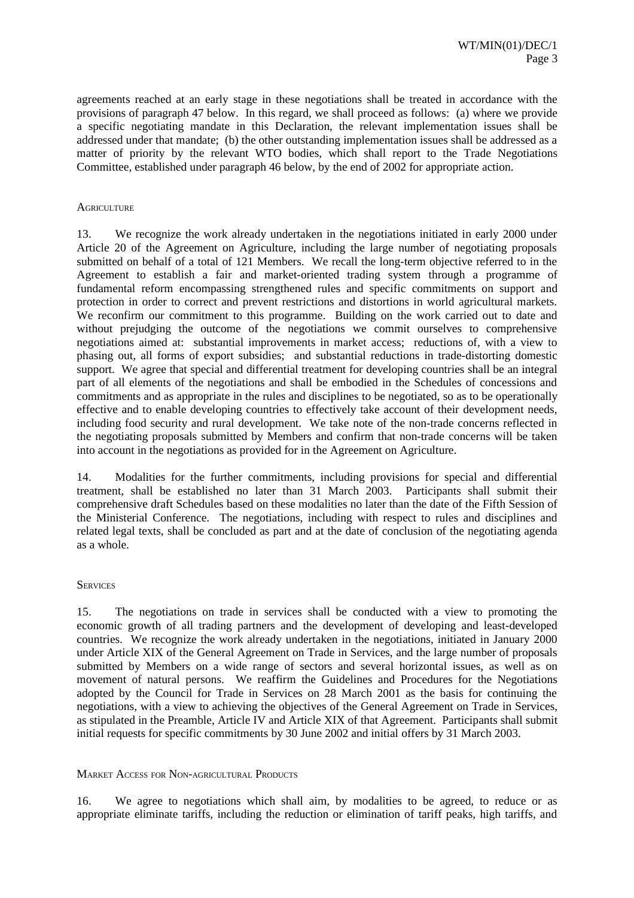agreements reached at an early stage in these negotiations shall be treated in accordance with the provisions of paragraph 47 below. In this regard, we shall proceed as follows: (a) where we provide a specific negotiating mandate in this Declaration, the relevant implementation issues shall be addressed under that mandate; (b) the other outstanding implementation issues shall be addressed as a matter of priority by the relevant WTO bodies, which shall report to the Trade Negotiations Committee, established under paragraph 46 below, by the end of 2002 for appropriate action.

### **AGRICULTURE**

13. We recognize the work already undertaken in the negotiations initiated in early 2000 under Article 20 of the Agreement on Agriculture, including the large number of negotiating proposals submitted on behalf of a total of 121 Members. We recall the long-term objective referred to in the Agreement to establish a fair and market-oriented trading system through a programme of fundamental reform encompassing strengthened rules and specific commitments on support and protection in order to correct and prevent restrictions and distortions in world agricultural markets. We reconfirm our commitment to this programme. Building on the work carried out to date and without prejudging the outcome of the negotiations we commit ourselves to comprehensive negotiations aimed at: substantial improvements in market access; reductions of, with a view to phasing out, all forms of export subsidies; and substantial reductions in trade-distorting domestic support. We agree that special and differential treatment for developing countries shall be an integral part of all elements of the negotiations and shall be embodied in the Schedules of concessions and commitments and as appropriate in the rules and disciplines to be negotiated, so as to be operationally effective and to enable developing countries to effectively take account of their development needs, including food security and rural development. We take note of the non-trade concerns reflected in the negotiating proposals submitted by Members and confirm that non-trade concerns will be taken into account in the negotiations as provided for in the Agreement on Agriculture.

14. Modalities for the further commitments, including provisions for special and differential treatment, shall be established no later than 31 March 2003. Participants shall submit their comprehensive draft Schedules based on these modalities no later than the date of the Fifth Session of the Ministerial Conference. The negotiations, including with respect to rules and disciplines and related legal texts, shall be concluded as part and at the date of conclusion of the negotiating agenda as a whole.

#### **SERVICES**

15. The negotiations on trade in services shall be conducted with a view to promoting the economic growth of all trading partners and the development of developing and least-developed countries. We recognize the work already undertaken in the negotiations, initiated in January 2000 under Article XIX of the General Agreement on Trade in Services, and the large number of proposals submitted by Members on a wide range of sectors and several horizontal issues, as well as on movement of natural persons. We reaffirm the Guidelines and Procedures for the Negotiations adopted by the Council for Trade in Services on 28 March 2001 as the basis for continuing the negotiations, with a view to achieving the objectives of the General Agreement on Trade in Services, as stipulated in the Preamble, Article IV and Article XIX of that Agreement. Participants shall submit initial requests for specific commitments by 30 June 2002 and initial offers by 31 March 2003.

#### MARKET ACCESS FOR NON-AGRICULTURAL PRODUCTS

16. We agree to negotiations which shall aim, by modalities to be agreed, to reduce or as appropriate eliminate tariffs, including the reduction or elimination of tariff peaks, high tariffs, and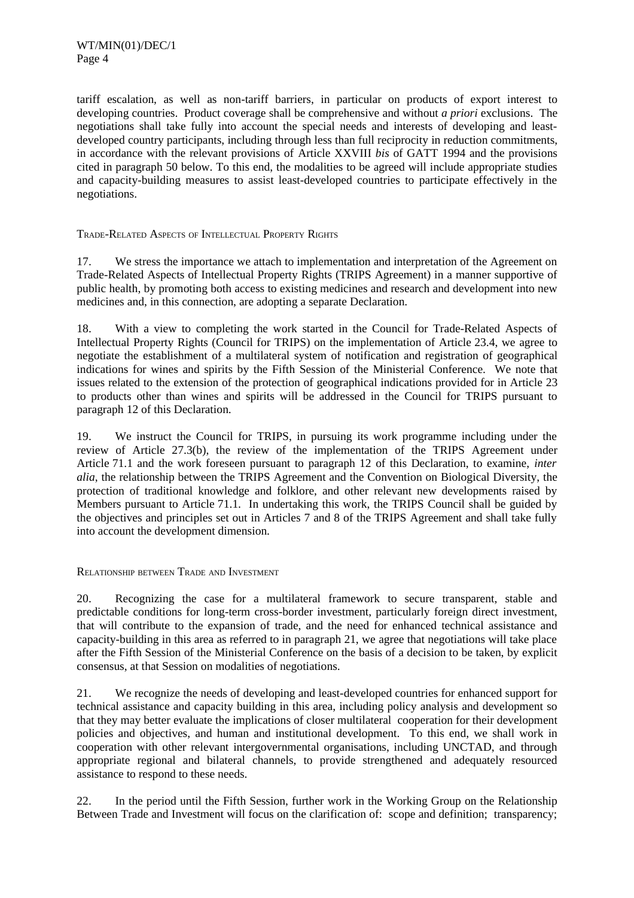tariff escalation, as well as non-tariff barriers, in particular on products of export interest to developing countries. Product coverage shall be comprehensive and without *a priori* exclusions. The negotiations shall take fully into account the special needs and interests of developing and leastdeveloped country participants, including through less than full reciprocity in reduction commitments, in accordance with the relevant provisions of Article XXVIII *bis* of GATT 1994 and the provisions cited in paragraph 50 below. To this end, the modalities to be agreed will include appropriate studies and capacity-building measures to assist least-developed countries to participate effectively in the negotiations.

# TRADE-RELATED ASPECTS OF INTELLECTUAL PROPERTY RIGHTS

17. We stress the importance we attach to implementation and interpretation of the Agreement on Trade-Related Aspects of Intellectual Property Rights (TRIPS Agreement) in a manner supportive of public health, by promoting both access to existing medicines and research and development into new medicines and, in this connection, are adopting a separate Declaration.

18. With a view to completing the work started in the Council for Trade-Related Aspects of Intellectual Property Rights (Council for TRIPS) on the implementation of Article 23.4, we agree to negotiate the establishment of a multilateral system of notification and registration of geographical indications for wines and spirits by the Fifth Session of the Ministerial Conference. We note that issues related to the extension of the protection of geographical indications provided for in Article 23 to products other than wines and spirits will be addressed in the Council for TRIPS pursuant to paragraph 12 of this Declaration.

19. We instruct the Council for TRIPS, in pursuing its work programme including under the review of Article 27.3(b), the review of the implementation of the TRIPS Agreement under Article 71.1 and the work foreseen pursuant to paragraph 12 of this Declaration, to examine, *inter alia*, the relationship between the TRIPS Agreement and the Convention on Biological Diversity, the protection of traditional knowledge and folklore, and other relevant new developments raised by Members pursuant to Article 71.1. In undertaking this work, the TRIPS Council shall be guided by the objectives and principles set out in Articles 7 and 8 of the TRIPS Agreement and shall take fully into account the development dimension.

RELATIONSHIP BETWEEN TRADE AND INVESTMENT

20. Recognizing the case for a multilateral framework to secure transparent, stable and predictable conditions for long-term cross-border investment, particularly foreign direct investment, that will contribute to the expansion of trade, and the need for enhanced technical assistance and capacity-building in this area as referred to in paragraph 21, we agree that negotiations will take place after the Fifth Session of the Ministerial Conference on the basis of a decision to be taken, by explicit consensus, at that Session on modalities of negotiations.

21. We recognize the needs of developing and least-developed countries for enhanced support for technical assistance and capacity building in this area, including policy analysis and development so that they may better evaluate the implications of closer multilateral cooperation for their development policies and objectives, and human and institutional development. To this end, we shall work in cooperation with other relevant intergovernmental organisations, including UNCTAD, and through appropriate regional and bilateral channels, to provide strengthened and adequately resourced assistance to respond to these needs.

22. In the period until the Fifth Session, further work in the Working Group on the Relationship Between Trade and Investment will focus on the clarification of: scope and definition; transparency;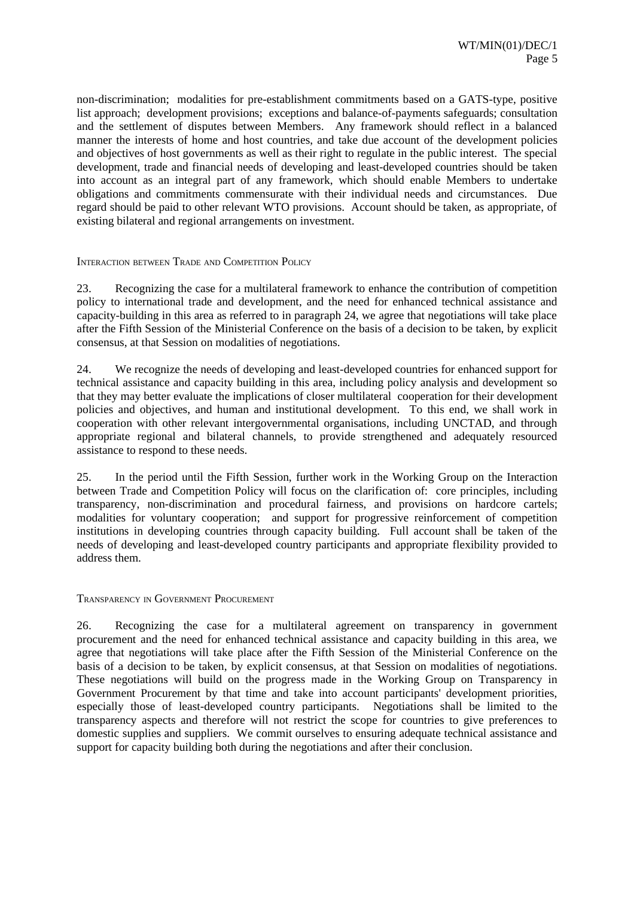non-discrimination; modalities for pre-establishment commitments based on a GATS-type, positive list approach; development provisions; exceptions and balance-of-payments safeguards; consultation and the settlement of disputes between Members. Any framework should reflect in a balanced manner the interests of home and host countries, and take due account of the development policies and objectives of host governments as well as their right to regulate in the public interest. The special development, trade and financial needs of developing and least-developed countries should be taken into account as an integral part of any framework, which should enable Members to undertake obligations and commitments commensurate with their individual needs and circumstances. Due regard should be paid to other relevant WTO provisions. Account should be taken, as appropriate, of existing bilateral and regional arrangements on investment.

### INTERACTION BETWEEN TRADE AND COMPETITION POLICY

23. Recognizing the case for a multilateral framework to enhance the contribution of competition policy to international trade and development, and the need for enhanced technical assistance and capacity-building in this area as referred to in paragraph 24, we agree that negotiations will take place after the Fifth Session of the Ministerial Conference on the basis of a decision to be taken, by explicit consensus, at that Session on modalities of negotiations.

24. We recognize the needs of developing and least-developed countries for enhanced support for technical assistance and capacity building in this area, including policy analysis and development so that they may better evaluate the implications of closer multilateral cooperation for their development policies and objectives, and human and institutional development. To this end, we shall work in cooperation with other relevant intergovernmental organisations, including UNCTAD, and through appropriate regional and bilateral channels, to provide strengthened and adequately resourced assistance to respond to these needs.

25. In the period until the Fifth Session, further work in the Working Group on the Interaction between Trade and Competition Policy will focus on the clarification of: core principles, including transparency, non-discrimination and procedural fairness, and provisions on hardcore cartels; modalities for voluntary cooperation; and support for progressive reinforcement of competition institutions in developing countries through capacity building. Full account shall be taken of the needs of developing and least-developed country participants and appropriate flexibility provided to address them.

## TRANSPARENCY IN GOVERNMENT PROCUREMENT

26. Recognizing the case for a multilateral agreement on transparency in government procurement and the need for enhanced technical assistance and capacity building in this area, we agree that negotiations will take place after the Fifth Session of the Ministerial Conference on the basis of a decision to be taken, by explicit consensus, at that Session on modalities of negotiations. These negotiations will build on the progress made in the Working Group on Transparency in Government Procurement by that time and take into account participants' development priorities, especially those of least-developed country participants. Negotiations shall be limited to the transparency aspects and therefore will not restrict the scope for countries to give preferences to domestic supplies and suppliers. We commit ourselves to ensuring adequate technical assistance and support for capacity building both during the negotiations and after their conclusion.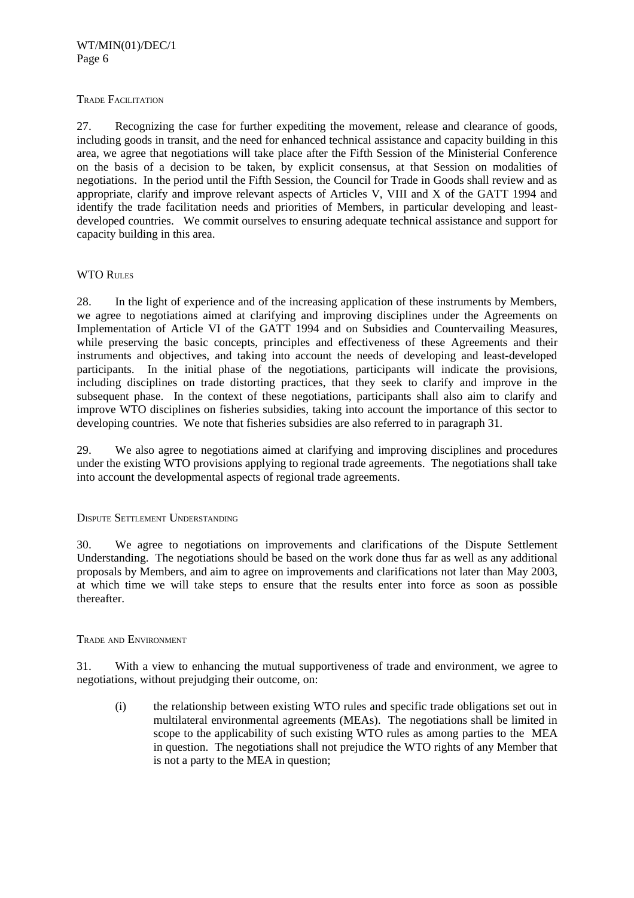## TRADE FACILITATION

27. Recognizing the case for further expediting the movement, release and clearance of goods, including goods in transit, and the need for enhanced technical assistance and capacity building in this area, we agree that negotiations will take place after the Fifth Session of the Ministerial Conference on the basis of a decision to be taken, by explicit consensus, at that Session on modalities of negotiations. In the period until the Fifth Session, the Council for Trade in Goods shall review and as appropriate, clarify and improve relevant aspects of Articles V, VIII and X of the GATT 1994 and identify the trade facilitation needs and priorities of Members, in particular developing and leastdeveloped countries. We commit ourselves to ensuring adequate technical assistance and support for capacity building in this area.

### WTO RULES

28. In the light of experience and of the increasing application of these instruments by Members, we agree to negotiations aimed at clarifying and improving disciplines under the Agreements on Implementation of Article VI of the GATT 1994 and on Subsidies and Countervailing Measures, while preserving the basic concepts, principles and effectiveness of these Agreements and their instruments and objectives, and taking into account the needs of developing and least-developed participants. In the initial phase of the negotiations, participants will indicate the provisions, including disciplines on trade distorting practices, that they seek to clarify and improve in the subsequent phase. In the context of these negotiations, participants shall also aim to clarify and improve WTO disciplines on fisheries subsidies, taking into account the importance of this sector to developing countries. We note that fisheries subsidies are also referred to in paragraph 31.

29. We also agree to negotiations aimed at clarifying and improving disciplines and procedures under the existing WTO provisions applying to regional trade agreements. The negotiations shall take into account the developmental aspects of regional trade agreements.

## DISPUTE SETTLEMENT UNDERSTANDING

30. We agree to negotiations on improvements and clarifications of the Dispute Settlement Understanding. The negotiations should be based on the work done thus far as well as any additional proposals by Members, and aim to agree on improvements and clarifications not later than May 2003, at which time we will take steps to ensure that the results enter into force as soon as possible thereafter.

## TRADE AND ENVIRONMENT

31. With a view to enhancing the mutual supportiveness of trade and environment, we agree to negotiations, without prejudging their outcome, on:

(i) the relationship between existing WTO rules and specific trade obligations set out in multilateral environmental agreements (MEAs). The negotiations shall be limited in scope to the applicability of such existing WTO rules as among parties to the MEA in question. The negotiations shall not prejudice the WTO rights of any Member that is not a party to the MEA in question;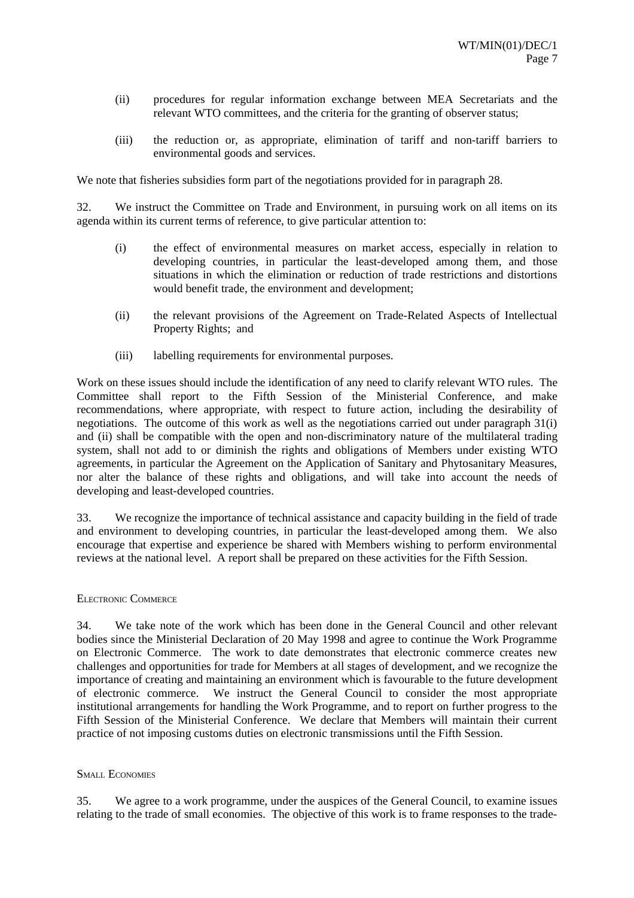- (ii) procedures for regular information exchange between MEA Secretariats and the relevant WTO committees, and the criteria for the granting of observer status;
- (iii) the reduction or, as appropriate, elimination of tariff and non-tariff barriers to environmental goods and services.

We note that fisheries subsidies form part of the negotiations provided for in paragraph 28.

32. We instruct the Committee on Trade and Environment, in pursuing work on all items on its agenda within its current terms of reference, to give particular attention to:

- (i) the effect of environmental measures on market access, especially in relation to developing countries, in particular the least-developed among them, and those situations in which the elimination or reduction of trade restrictions and distortions would benefit trade, the environment and development;
- (ii) the relevant provisions of the Agreement on Trade-Related Aspects of Intellectual Property Rights; and
- (iii) labelling requirements for environmental purposes.

Work on these issues should include the identification of any need to clarify relevant WTO rules. The Committee shall report to the Fifth Session of the Ministerial Conference, and make recommendations, where appropriate, with respect to future action, including the desirability of negotiations. The outcome of this work as well as the negotiations carried out under paragraph 31(i) and (ii) shall be compatible with the open and non-discriminatory nature of the multilateral trading system, shall not add to or diminish the rights and obligations of Members under existing WTO agreements, in particular the Agreement on the Application of Sanitary and Phytosanitary Measures, nor alter the balance of these rights and obligations, and will take into account the needs of developing and least-developed countries.

33. We recognize the importance of technical assistance and capacity building in the field of trade and environment to developing countries, in particular the least-developed among them. We also encourage that expertise and experience be shared with Members wishing to perform environmental reviews at the national level. A report shall be prepared on these activities for the Fifth Session.

## ELECTRONIC COMMERCE

34. We take note of the work which has been done in the General Council and other relevant bodies since the Ministerial Declaration of 20 May 1998 and agree to continue the Work Programme on Electronic Commerce. The work to date demonstrates that electronic commerce creates new challenges and opportunities for trade for Members at all stages of development, and we recognize the importance of creating and maintaining an environment which is favourable to the future development of electronic commerce. We instruct the General Council to consider the most appropriate institutional arrangements for handling the Work Programme, and to report on further progress to the Fifth Session of the Ministerial Conference. We declare that Members will maintain their current practice of not imposing customs duties on electronic transmissions until the Fifth Session.

### SMALL ECONOMIES

35. We agree to a work programme, under the auspices of the General Council, to examine issues relating to the trade of small economies. The objective of this work is to frame responses to the trade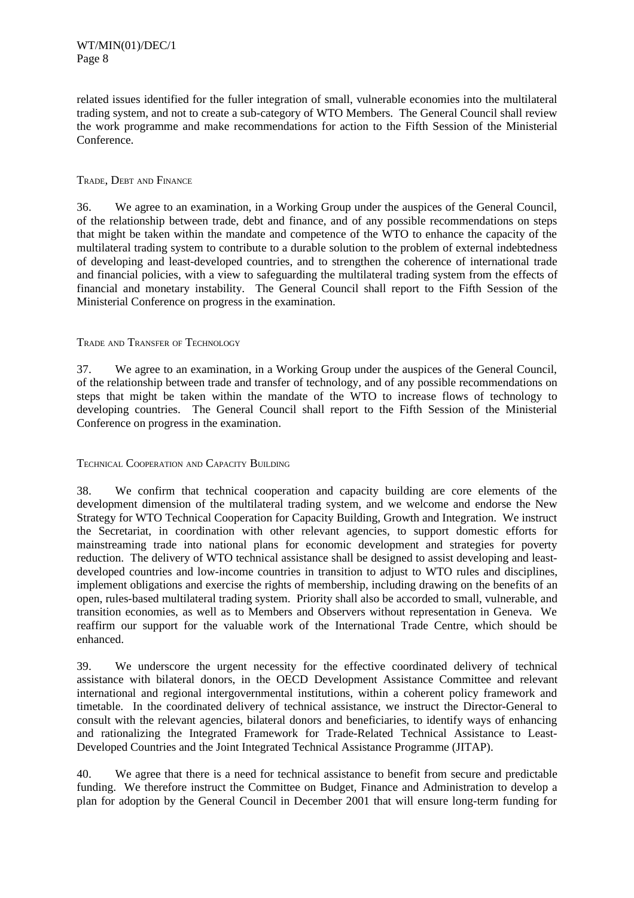related issues identified for the fuller integration of small, vulnerable economies into the multilateral trading system, and not to create a sub-category of WTO Members. The General Council shall review the work programme and make recommendations for action to the Fifth Session of the Ministerial Conference.

# TRADE, DEBT AND FINANCE

36. We agree to an examination, in a Working Group under the auspices of the General Council, of the relationship between trade, debt and finance, and of any possible recommendations on steps that might be taken within the mandate and competence of the WTO to enhance the capacity of the multilateral trading system to contribute to a durable solution to the problem of external indebtedness of developing and least-developed countries, and to strengthen the coherence of international trade and financial policies, with a view to safeguarding the multilateral trading system from the effects of financial and monetary instability. The General Council shall report to the Fifth Session of the Ministerial Conference on progress in the examination.

# TRADE AND TRANSFER OF TECHNOLOGY

37. We agree to an examination, in a Working Group under the auspices of the General Council, of the relationship between trade and transfer of technology, and of any possible recommendations on steps that might be taken within the mandate of the WTO to increase flows of technology to developing countries. The General Council shall report to the Fifth Session of the Ministerial Conference on progress in the examination.

# TECHNICAL COOPERATION AND CAPACITY BUILDING

38. We confirm that technical cooperation and capacity building are core elements of the development dimension of the multilateral trading system, and we welcome and endorse the New Strategy for WTO Technical Cooperation for Capacity Building, Growth and Integration. We instruct the Secretariat, in coordination with other relevant agencies, to support domestic efforts for mainstreaming trade into national plans for economic development and strategies for poverty reduction. The delivery of WTO technical assistance shall be designed to assist developing and leastdeveloped countries and low-income countries in transition to adjust to WTO rules and disciplines, implement obligations and exercise the rights of membership, including drawing on the benefits of an open, rules-based multilateral trading system. Priority shall also be accorded to small, vulnerable, and transition economies, as well as to Members and Observers without representation in Geneva. We reaffirm our support for the valuable work of the International Trade Centre, which should be enhanced.

39. We underscore the urgent necessity for the effective coordinated delivery of technical assistance with bilateral donors, in the OECD Development Assistance Committee and relevant international and regional intergovernmental institutions, within a coherent policy framework and timetable. In the coordinated delivery of technical assistance, we instruct the Director-General to consult with the relevant agencies, bilateral donors and beneficiaries, to identify ways of enhancing and rationalizing the Integrated Framework for Trade-Related Technical Assistance to Least-Developed Countries and the Joint Integrated Technical Assistance Programme (JITAP).

40. We agree that there is a need for technical assistance to benefit from secure and predictable funding. We therefore instruct the Committee on Budget, Finance and Administration to develop a plan for adoption by the General Council in December 2001 that will ensure long-term funding for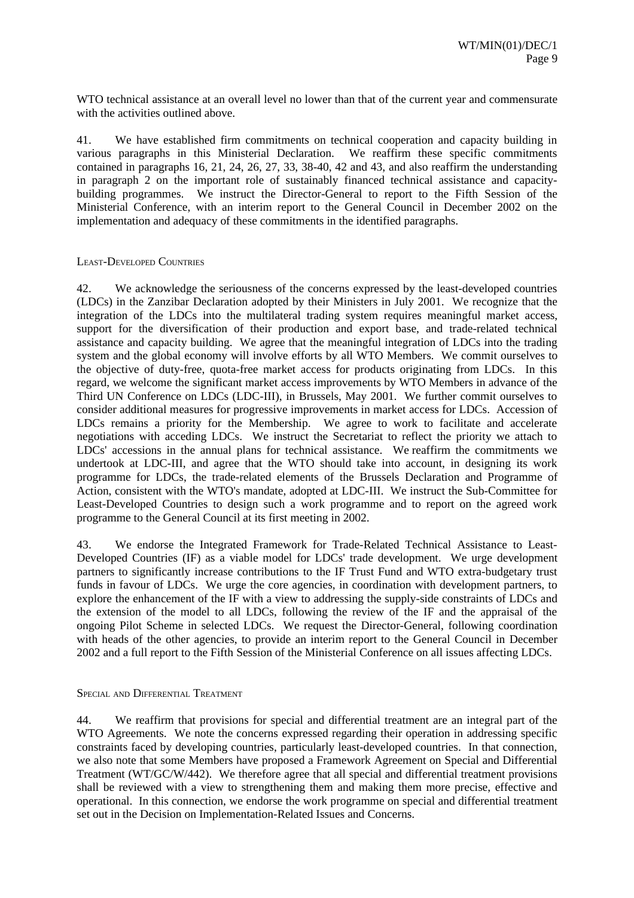WTO technical assistance at an overall level no lower than that of the current year and commensurate with the activities outlined above.

41. We have established firm commitments on technical cooperation and capacity building in various paragraphs in this Ministerial Declaration. We reaffirm these specific commitments contained in paragraphs 16, 21, 24, 26, 27, 33, 38-40, 42 and 43, and also reaffirm the understanding in paragraph 2 on the important role of sustainably financed technical assistance and capacitybuilding programmes. We instruct the Director-General to report to the Fifth Session of the Ministerial Conference, with an interim report to the General Council in December 2002 on the implementation and adequacy of these commitments in the identified paragraphs.

### LEAST-DEVELOPED COUNTRIES

42. We acknowledge the seriousness of the concerns expressed by the least-developed countries (LDCs) in the Zanzibar Declaration adopted by their Ministers in July 2001.We recognize that the integration of the LDCs into the multilateral trading system requires meaningful market access, support for the diversification of their production and export base, and trade-related technical assistance and capacity building. We agree that the meaningful integration of LDCs into the trading system and the global economy will involve efforts by all WTO Members. We commit ourselves to the objective of duty-free, quota-free market access for products originating from LDCs. In this regard, we welcome the significant market access improvements by WTO Members in advance of the Third UN Conference on LDCs (LDC-III), in Brussels, May 2001. We further commit ourselves to consider additional measures for progressive improvements in market access for LDCs. Accession of LDCs remains a priority for the Membership. We agree to work to facilitate and accelerate negotiations with acceding LDCs. We instruct the Secretariat to reflect the priority we attach to LDCs' accessions in the annual plans for technical assistance. We reaffirm the commitments we undertook at LDC-III, and agree that the WTO should take into account, in designing its work programme for LDCs, the trade-related elements of the Brussels Declaration and Programme of Action, consistent with the WTO's mandate, adopted at LDC-III. We instruct the Sub-Committee for Least-Developed Countries to design such a work programme and to report on the agreed work programme to the General Council at its first meeting in 2002.

43. We endorse the Integrated Framework for Trade-Related Technical Assistance to Least-Developed Countries (IF) as a viable model for LDCs' trade development. We urge development partners to significantly increase contributions to the IF Trust Fund and WTO extra-budgetary trust funds in favour of LDCs. We urge the core agencies, in coordination with development partners, to explore the enhancement of the IF with a view to addressing the supply-side constraints of LDCs and the extension of the model to all LDCs, following the review of the IF and the appraisal of the ongoing Pilot Scheme in selected LDCs. We request the Director-General, following coordination with heads of the other agencies, to provide an interim report to the General Council in December 2002 and a full report to the Fifth Session of the Ministerial Conference on all issues affecting LDCs.

#### SPECIAL AND DIFFERENTIAL TREATMENT

44. We reaffirm that provisions for special and differential treatment are an integral part of the WTO Agreements. We note the concerns expressed regarding their operation in addressing specific constraints faced by developing countries, particularly least-developed countries. In that connection, we also note that some Members have proposed a Framework Agreement on Special and Differential Treatment (WT/GC/W/442). We therefore agree that all special and differential treatment provisions shall be reviewed with a view to strengthening them and making them more precise, effective and operational. In this connection, we endorse the work programme on special and differential treatment set out in the Decision on Implementation-Related Issues and Concerns.